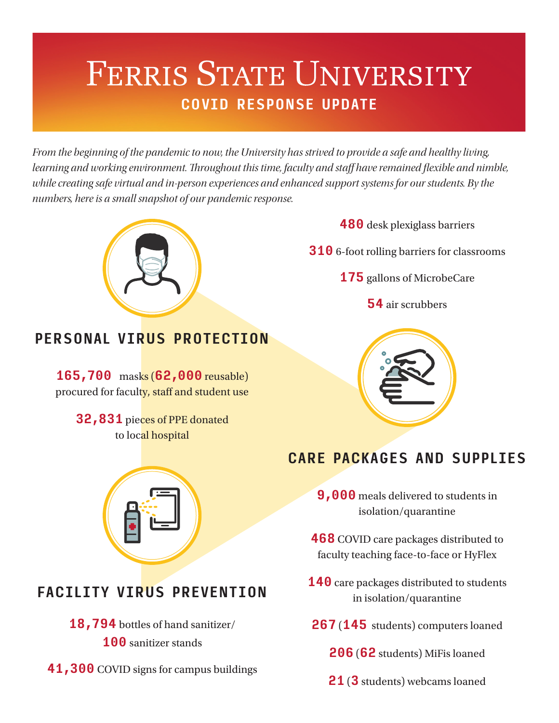# FERRIS STATE UNIVERSITY **COVID RESPONSE UPDATE**

*From the beginning of the pandemic to now, the University has strived to provide a safe and healthy living, learning and working environment. Throughout this time, faculty and staff have remained flexible and nimble, while creating safe virtual and in-person experiences and enhanced support systems for our students. By the numbers, here is a small snapshot of our pandemic response.*



## **PERSONAL VIRUS PROTECTION**

**165,700** masks (**62,000** reusable) procured for faculty, staff and student use

> **32,831** pieces of PPE donated to local hospital





## **FACILITY VIRUS PREVENTION**

- **18,794** bottles of hand sanitizer/ **100** sanitizer stands
- **41,300** COVID signs for campus buildings

### **CARE PACKAGES AND SUPPLIES**

**9,000** meals delivered to students in isolation/quarantine

**468** COVID care packages distributed to faculty teaching face-to-face or HyFlex

- **140** care packages distributed to students in isolation/quarantine
- **267** (**145** students) computers loaned

**206** (**62** students) MiFis loaned

**21** (**3** students) webcams loaned

#### **480** desk plexiglass barriers

**310** 6-foot rolling barriers for classrooms

**175** gallons of MicrobeCare

**54** air scrubbers